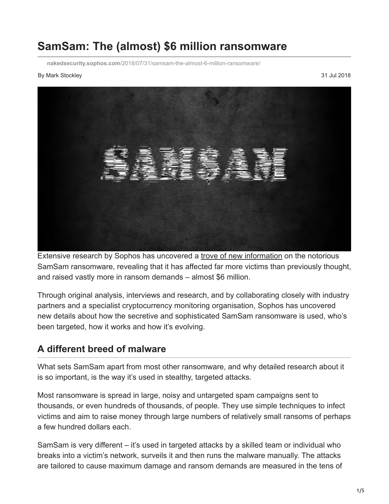# **SamSam: The (almost) \$6 million ransomware**

**nakedsecurity.sophos.com**[/2018/07/31/samsam-the-almost-6-million-ransomware/](https://nakedsecurity.sophos.com/2018/07/31/samsam-the-almost-6-million-ransomware/)

#### By Mark Stockley 31 Jul 2018



Extensive research by Sophos has uncovered a [trove of new information](https://www.sophos.com/en-us/medialibrary/PDFs/technical-papers/SamSam-The-Almost-Six-Million-Dollar-Ransomware.pdf?cmp=26061) on the notorious SamSam ransomware, revealing that it has affected far more victims than previously thought, and raised vastly more in ransom demands – almost \$6 million.

Through original analysis, interviews and research, and by collaborating closely with industry partners and a specialist cryptocurrency monitoring organisation, Sophos has uncovered new details about how the secretive and sophisticated SamSam ransomware is used, who's been targeted, how it works and how it's evolving.

#### **A different breed of malware**

What sets SamSam apart from most other ransomware, and why detailed research about it is so important, is the way it's used in stealthy, targeted attacks.

Most ransomware is spread in large, noisy and untargeted spam campaigns sent to thousands, or even hundreds of thousands, of people. They use simple techniques to infect victims and aim to raise money through large numbers of relatively small ransoms of perhaps a few hundred dollars each.

SamSam is very different – it's used in targeted attacks by a skilled team or individual who breaks into a victim's network, surveils it and then runs the malware manually. The attacks are tailored to cause maximum damage and ransom demands are measured in the tens of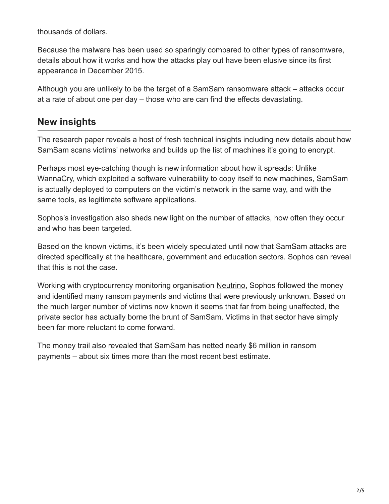thousands of dollars.

Because the malware has been used so sparingly compared to other types of ransomware, details about how it works and how the attacks play out have been elusive since its first appearance in December 2015.

Although you are unlikely to be the target of a SamSam ransomware attack – attacks occur at a rate of about one per day – those who are can find the effects devastating.

#### **New insights**

The research paper reveals a host of fresh technical insights including new details about how SamSam scans victims' networks and builds up the list of machines it's going to encrypt.

Perhaps most eye-catching though is new information about how it spreads: Unlike WannaCry, which exploited a software vulnerability to copy itself to new machines, SamSam is actually deployed to computers on the victim's network in the same way, and with the same tools, as legitimate software applications.

Sophos's investigation also sheds new light on the number of attacks, how often they occur and who has been targeted.

Based on the known victims, it's been widely speculated until now that SamSam attacks are directed specifically at the healthcare, government and education sectors. Sophos can reveal that this is not the case.

Working with cryptocurrency monitoring organisation [Neutrino](https://www.neutrino.nu/), Sophos followed the money and identified many ransom payments and victims that were previously unknown. Based on the much larger number of victims now known it seems that far from being unaffected, the private sector has actually borne the brunt of SamSam. Victims in that sector have simply been far more reluctant to come forward.

The money trail also revealed that SamSam has netted nearly \$6 million in ransom payments – about six times more than the most recent best estimate.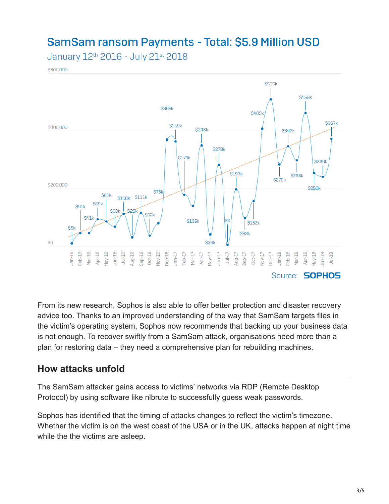## SamSam ransom Payments - Total: \$5.9 Million USD

January 12th 2016 - July 21st 2018

\$600,000



From its new research, Sophos is also able to offer better protection and disaster recovery advice too. Thanks to an improved understanding of the way that SamSam targets files in the victim's operating system, Sophos now recommends that backing up your business data is not enough. To recover swiftly from a SamSam attack, organisations need more than a plan for restoring data – they need a comprehensive plan for rebuilding machines.

#### **How attacks unfold**

The SamSam attacker gains access to victims' networks via RDP (Remote Desktop Protocol) by using software like nlbrute to successfully guess weak passwords.

Sophos has identified that the timing of attacks changes to reflect the victim's timezone. Whether the victim is on the west coast of the USA or in the UK, attacks happen at night time while the the victims are asleep.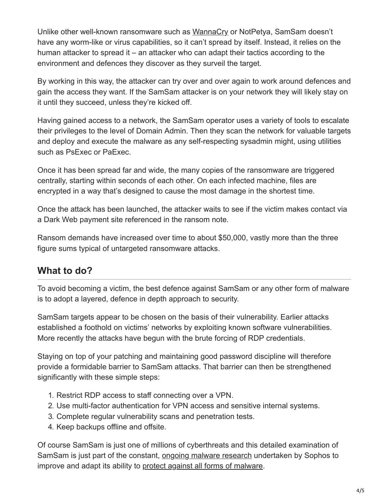Unlike other well-known ransomware such as [WannaCry](https://nakedsecurity.sophos.com/2017/05/17/wannacry-the-ransomware-worm-that-didnt-arrive-on-a-phishing-hook/) or NotPetya, SamSam doesn't have any worm-like or virus capabilities, so it can't spread by itself. Instead, it relies on the human attacker to spread it – an attacker who can adapt their tactics according to the environment and defences they discover as they surveil the target.

By working in this way, the attacker can try over and over again to work around defences and gain the access they want. If the SamSam attacker is on your network they will likely stay on it until they succeed, unless they're kicked off.

Having gained access to a network, the SamSam operator uses a variety of tools to escalate their privileges to the level of Domain Admin. Then they scan the network for valuable targets and deploy and execute the malware as any self-respecting sysadmin might, using utilities such as PsExec or PaExec.

Once it has been spread far and wide, the many copies of the ransomware are triggered centrally, starting within seconds of each other. On each infected machine, files are encrypted in a way that's designed to cause the most damage in the shortest time.

Once the attack has been launched, the attacker waits to see if the victim makes contact via a Dark Web payment site referenced in the ransom note.

Ransom demands have increased over time to about \$50,000, vastly more than the three figure sums typical of untargeted ransomware attacks.

### **What to do?**

To avoid becoming a victim, the best defence against SamSam or any other form of malware is to adopt a layered, defence in depth approach to security.

SamSam targets appear to be chosen on the basis of their vulnerability. Earlier attacks established a foothold on victims' networks by exploiting known software vulnerabilities. More recently the attacks have begun with the brute forcing of RDP credentials.

Staying on top of your patching and maintaining good password discipline will therefore provide a formidable barrier to SamSam attacks. That barrier can then be strengthened significantly with these simple steps:

- 1. Restrict RDP access to staff connecting over a VPN.
- 2. Use multi-factor authentication for VPN access and sensitive internal systems.
- 3. Complete regular vulnerability scans and penetration tests.
- 4. Keep backups offline and offsite.

Of course SamSam is just one of millions of cyberthreats and this detailed examination of SamSam is just part of the constant, [ongoing malware research](https://news.sophos.com/en-us/category/sophoslabs/sophoslabs-uncut/?cmp=26061) undertaken by Sophos to improve and adapt its ability to [protect against all forms of malware.](https://www.sophos.com/en-us/products/intercept-x.aspx?cmp=26061)